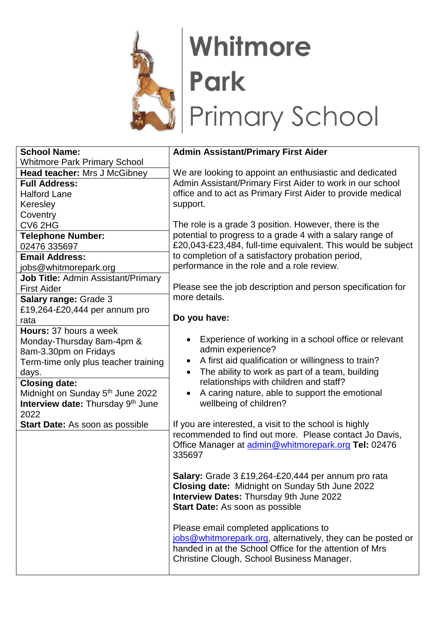

## Whitmore Park<br>Primary School

| <b>School Name:</b>                          | <b>Admin Assistant/Primary First Aider</b>                   |
|----------------------------------------------|--------------------------------------------------------------|
| <b>Whitmore Park Primary School</b>          |                                                              |
| <b>Head teacher: Mrs J McGibney</b>          | We are looking to appoint an enthusiastic and dedicated      |
| <b>Full Address:</b>                         | Admin Assistant/Primary First Aider to work in our school    |
| <b>Halford Lane</b>                          | office and to act as Primary First Aider to provide medical  |
| Keresley                                     | support.                                                     |
| Coventry                                     |                                                              |
| CV6 2HG                                      | The role is a grade 3 position. However, there is the        |
| <b>Telephone Number:</b>                     | potential to progress to a grade 4 with a salary range of    |
| 02476 335697                                 | £20,043-£23,484, full-time equivalent. This would be subject |
| <b>Email Address:</b>                        | to completion of a satisfactory probation period,            |
| jobs@whitmorepark.org                        | performance in the role and a role review.                   |
| Job Title: Admin Assistant/Primary           |                                                              |
| <b>First Aider</b>                           | Please see the job description and person specification for  |
| Salary range: Grade 3                        | more details.                                                |
| £19,264-£20,444 per annum pro                |                                                              |
| rata                                         | Do you have:                                                 |
| Hours: 37 hours a week                       |                                                              |
| Monday-Thursday 8am-4pm &                    | Experience of working in a school office or relevant         |
| 8am-3.30pm on Fridays                        | admin experience?                                            |
| Term-time only plus teacher training         | A first aid qualification or willingness to train?           |
| days.                                        | The ability to work as part of a team, building<br>$\bullet$ |
| <b>Closing date:</b>                         | relationships with children and staff?                       |
| Midnight on Sunday 5 <sup>th</sup> June 2022 | A caring nature, able to support the emotional               |
| Interview date: Thursday 9th June            | wellbeing of children?                                       |
| 2022                                         |                                                              |
| <b>Start Date: As soon as possible</b>       | If you are interested, a visit to the school is highly       |
|                                              | recommended to find out more. Please contact Jo Davis,       |
|                                              | Office Manager at admin@whitmorepark.org Tel: 02476          |
|                                              | 335697                                                       |
|                                              |                                                              |
|                                              | Salary: Grade 3 £19,264-£20,444 per annum pro rata           |
|                                              | Closing date: Midnight on Sunday 5th June 2022               |
|                                              | <b>Interview Dates: Thursday 9th June 2022</b>               |
|                                              | <b>Start Date:</b> As soon as possible                       |
|                                              |                                                              |
|                                              | Please email completed applications to                       |
|                                              | jobs@whitmorepark.org, alternatively, they can be posted or  |
|                                              | handed in at the School Office for the attention of Mrs      |
|                                              | Christine Clough, School Business Manager.                   |
|                                              |                                                              |